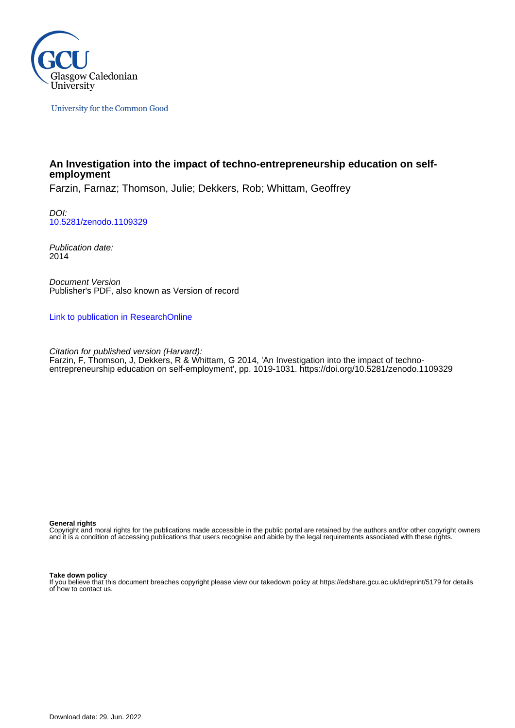

University for the Common Good

# **An Investigation into the impact of techno-entrepreneurship education on selfemployment**

Farzin, Farnaz; Thomson, Julie; Dekkers, Rob; Whittam, Geoffrey

DOI: [10.5281/zenodo.1109329](https://doi.org/10.5281/zenodo.1109329)

Publication date: 2014

Document Version Publisher's PDF, also known as Version of record

[Link to publication in ResearchOnline](https://researchonline.gcu.ac.uk/en/publications/42e87316-10bd-4a78-88a7-dc650e1e079f)

Citation for published version (Harvard): Farzin, F, Thomson, J, Dekkers, R & Whittam, G 2014, 'An Investigation into the impact of technoentrepreneurship education on self-employment', pp. 1019-1031.<https://doi.org/10.5281/zenodo.1109329>

#### **General rights**

Copyright and moral rights for the publications made accessible in the public portal are retained by the authors and/or other copyright owners and it is a condition of accessing publications that users recognise and abide by the legal requirements associated with these rights.

#### **Take down policy**

If you believe that this document breaches copyright please view our takedown policy at https://edshare.gcu.ac.uk/id/eprint/5179 for details of how to contact us.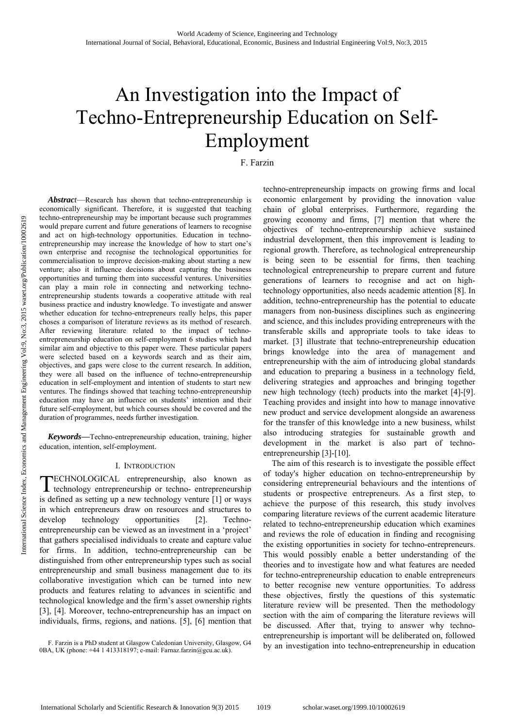# An Investigation into the Impact of Techno-Entrepreneurship Education on Self-Employment

F. Farzin

*Abstract*—Research has shown that techno-entrepreneurship is economically significant. Therefore, it is suggested that teaching techno-entrepreneurship may be important because such programmes would prepare current and future generations of learners to recognise and act on high-technology opportunities. Education in technoentrepreneurship may increase the knowledge of how to start one's own enterprise and recognise the technological opportunities for commercialisation to improve decision-making about starting a new venture; also it influence decisions about capturing the business opportunities and turning them into successful ventures. Universities can play a main role in connecting and networking technoentrepreneurship students towards a cooperative attitude with real business practice and industry knowledge. To investigate and answer whether education for techno-entrepreneurs really helps, this paper choses a comparison of literature reviews as its method of research. After reviewing literature related to the impact of technoentrepreneurship education on self-employment 6 studies which had similar aim and objective to this paper were. These particular papers were selected based on a keywords search and as their aim, objectives, and gaps were close to the current research. In addition, they were all based on the influence of techno-entrepreneurship education in self-employment and intention of students to start new ventures. The findings showed that teaching techno-entrepreneurship education may have an influence on students' intention and their future self-employment, but which courses should be covered and the duration of programmes, needs further investigation.

*Keywords***—**Techno-entrepreneurship education, training, higher education, intention, self-employment.

#### I. INTRODUCTION

ECHNOLOGICAL entrepreneurship, also known as TECHNOLOGICAL entrepreneurship, also known as technology entrepreneurship or techno- entrepreneurship is defined as setting up a new technology venture [1] or ways in which entrepreneurs draw on resources and structures to develop technology opportunities [2]. Technoentrepreneurship can be viewed as an investment in a 'project' that gathers specialised individuals to create and capture value for firms. In addition, techno-entrepreneurship can be distinguished from other entrepreneurship types such as social entrepreneurship and small business management due to its collaborative investigation which can be turned into new products and features relating to advances in scientific and technological knowledge and the firm's asset ownership rights [3], [4]. Moreover, techno-entrepreneurship has an impact on individuals, firms, regions, and nations. [5], [6] mention that

techno-entrepreneurship impacts on growing firms and local economic enlargement by providing the innovation value chain of global enterprises. Furthermore, regarding the growing economy and firms, [7] mention that where the objectives of techno-entrepreneurship achieve sustained industrial development, then this improvement is leading to regional growth. Therefore, as technological entrepreneurship is being seen to be essential for firms, then teaching technological entrepreneurship to prepare current and future generations of learners to recognise and act on hightechnology opportunities, also needs academic attention [8]. In addition, techno-entrepreneurship has the potential to educate managers from non-business disciplines such as engineering and science, and this includes providing entrepreneurs with the transferable skills and appropriate tools to take ideas to market. [3] illustrate that techno-entrepreneurship education brings knowledge into the area of management and entrepreneurship with the aim of introducing global standards and education to preparing a business in a technology field, delivering strategies and approaches and bringing together new high technology (tech) products into the market [4]-[9]. Teaching provides and insight into how to manage innovative new product and service development alongside an awareness for the transfer of this knowledge into a new business, whilst also introducing strategies for sustainable growth and development in the market is also part of technoentrepreneurship [3]-[10].

The aim of this research is to investigate the possible effect of today's higher education on techno-entrepreneurship by considering entrepreneurial behaviours and the intentions of students or prospective entrepreneurs. As a first step, to achieve the purpose of this research, this study involves comparing literature reviews of the current academic literature related to techno-entrepreneurship education which examines and reviews the role of education in finding and recognising the existing opportunities in society for techno-entrepreneurs. This would possibly enable a better understanding of the theories and to investigate how and what features are needed for techno-entrepreneurship education to enable entrepreneurs to better recognise new venture opportunities. To address these objectives, firstly the questions of this systematic literature review will be presented. Then the methodology section with the aim of comparing the literature reviews will be discussed. After that, trying to answer why technoentrepreneurship is important will be deliberated on, followed by an investigation into techno-entrepreneurship in education

F. Farzin is a PhD student at Glasgow Caledonian University, Glasgow, G4 0BA, UK (phone: +44 1 413318197; e-mail: Farnaz.farzin@gcu.ac.uk).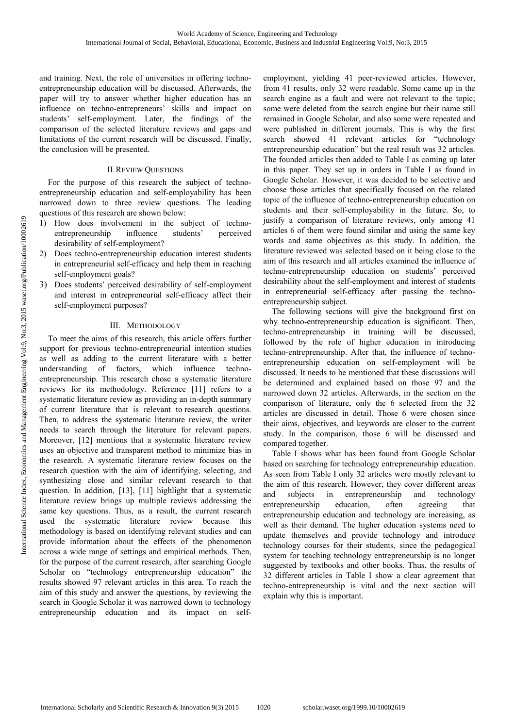and training. Next, the role of universities in offering technoentrepreneurship education will be discussed. Afterwards, the paper will try to answer whether higher education has an influence on techno-entrepreneurs' skills and impact on students' self-employment. Later, the findings of the comparison of the selected literature reviews and gaps and limitations of the current research will be discussed. Finally, the conclusion will be presented.

## II.REVIEW QUESTIONS

For the purpose of this research the subject of technoentrepreneurship education and self-employability has been narrowed down to three review questions. The leading questions of this research are shown below:

- 1) How does involvement in the subject of technoentrepreneurship influence students' perceived desirability of self-employment?
- 2) Does techno-entrepreneurship education interest students in entrepreneurial self-efficacy and help them in reaching self-employment goals?
- 3) Does students' perceived desirability of self-employment and interest in entrepreneurial self-efficacy affect their self-employment purposes?

## III. METHODOLOGY

To meet the aims of this research, this article offers further support for previous techno-entrepreneurial intention studies as well as adding to the current literature with a better understanding of factors, which influence technoentrepreneurship. This research chose a systematic literature reviews for its methodology. Reference [11] refers to a systematic literature review as providing an in-depth summary of current literature that is relevant to research questions. Then, to address the systematic literature review, the writer needs to search through the literature for relevant papers. Moreover, [12] mentions that a systematic literature review uses an objective and transparent method to minimize bias in the research. A systematic literature review focuses on the research question with the aim of identifying, selecting, and synthesizing close and similar relevant research to that question. In addition, [13], [11] highlight that a systematic literature review brings up multiple reviews addressing the same key questions. Thus, as a result, the current research used the systematic literature review because this methodology is based on identifying relevant studies and can provide information about the effects of the phenomenon across a wide range of settings and empirical methods. Then, for the purpose of the current research, after searching Google Scholar on "technology entrepreneurship education" the results showed 97 relevant articles in this area. To reach the aim of this study and answer the questions, by reviewing the search in Google Scholar it was narrowed down to technology entrepreneurship education and its impact on selfemployment, yielding 41 peer-reviewed articles. However, from 41 results, only 32 were readable. Some came up in the search engine as a fault and were not relevant to the topic; some were deleted from the search engine but their name still remained in Google Scholar, and also some were repeated and were published in different journals. This is why the first search showed 41 relevant articles for "technology entrepreneurship education" but the real result was 32 articles. The founded articles then added to Table I as coming up later in this paper. They set up in orders in Table I as found in Google Scholar. However, it was decided to be selective and choose those articles that specifically focused on the related topic of the influence of techno-entrepreneurship education on students and their self-employability in the future. So, to justify a comparison of literature reviews, only among 41 articles 6 of them were found similar and using the same key words and same objectives as this study. In addition, the literature reviewed was selected based on it being close to the aim of this research and all articles examined the influence of techno-entrepreneurship education on students' perceived desirability about the self-employment and interest of students in entrepreneurial self-efficacy after passing the technoentrepreneurship subject.

The following sections will give the background first on why techno-entrepreneurship education is significant. Then, techno-entrepreneurship in training will be discussed, followed by the role of higher education in introducing techno-entrepreneurship. After that, the influence of technoentrepreneurship education on self-employment will be discussed. It needs to be mentioned that these discussions will be determined and explained based on those 97 and the narrowed down 32 articles. Afterwards, in the section on the comparison of literature, only the 6 selected from the 32 articles are discussed in detail. Those 6 were chosen since their aims, objectives, and keywords are closer to the current study. In the comparison, those 6 will be discussed and compared together.

Table I shows what has been found from Google Scholar based on searching for technology entrepreneurship education. As seen from Table I only 32 articles were mostly relevant to the aim of this research. However, they cover different areas and subjects in entrepreneurship and technology entrepreneurship education, often agreeing that entrepreneurship education and technology are increasing, as well as their demand. The higher education systems need to update themselves and provide technology and introduce technology courses for their students, since the pedagogical system for teaching technology entrepreneurship is no longer suggested by textbooks and other books. Thus, the results of 32 different articles in Table I show a clear agreement that techno-entrepreneurship is vital and the next section will explain why this is important.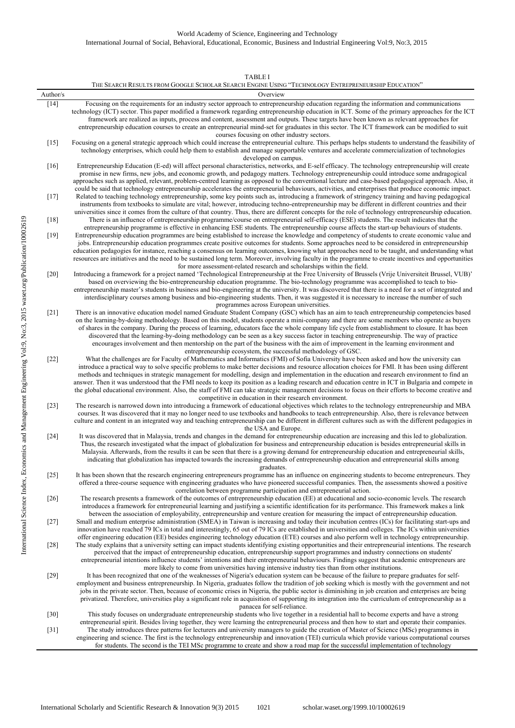|          | THE SEARCH RESULTS FROM GOOGLE SCHOLAR SEARCH ENGINE USING "TECHNOLOGY ENTREPRENEURSHIP EDUCATION"                                                                                                                                                                                                                                                                                                                                                                                                                                                                                                                                                                                                                                                                                              |
|----------|-------------------------------------------------------------------------------------------------------------------------------------------------------------------------------------------------------------------------------------------------------------------------------------------------------------------------------------------------------------------------------------------------------------------------------------------------------------------------------------------------------------------------------------------------------------------------------------------------------------------------------------------------------------------------------------------------------------------------------------------------------------------------------------------------|
| Author/s | Overview                                                                                                                                                                                                                                                                                                                                                                                                                                                                                                                                                                                                                                                                                                                                                                                        |
| $[14]$   | Focusing on the requirements for an industry sector approach to entrepreneurship education regarding the information and communications<br>technology (ICT) sector. This paper modified a framework regarding entrepreneurship education in ICT. Some of the primary approaches for the ICT<br>framework are realized as inputs, process and content, assessment and outputs. These targets have been known as relevant approaches for<br>entrepreneurship education courses to create an entrepreneurial mind-set for graduates in this sector. The ICT framework can be modified to suit<br>courses focusing on other industry sectors.                                                                                                                                                       |
| $[15]$   | Focusing on a general strategic approach which could increase the entrepreneurial culture. This perhaps helps students to understand the feasibility of<br>technology enterprises, which could help them to establish and manage supportable ventures and accelerate commercialization of technologies<br>developed on campus.                                                                                                                                                                                                                                                                                                                                                                                                                                                                  |
| [16]     | Entrepreneurship Education (E-ed) will affect personal characteristics, networks, and E-self efficacy. The technology entrepreneurship will create<br>promise in new firms, new jobs, and economic growth, and pedagogy matters. Technology entrepreneurship could introduce some andragogical<br>approaches such as applied, relevant, problem-centred learning as opposed to the conventional lecture and case-based pedagogical approach. Also, it<br>could be said that technology entrepreneurship accelerates the entrepreneurial behaviours, activities, and enterprises that produce economic impact.                                                                                                                                                                                   |
| $[17]$   | Related to teaching technology entrepreneurship, some key points such as, introducing a framework of stringency training and having pedagogical<br>instruments from textbooks to simulate are vital; however, introducing techno-entrepreneurship may be different in different countries and their<br>universities since it comes from the culture of that country. Thus, there are different concepts for the role of technology entrepreneurship education.                                                                                                                                                                                                                                                                                                                                  |
| [18]     | There is an influence of entrepreneurship programme/course on entrepreneurial self-efficacy (ESE) students. The result indicates that the<br>entrepreneurship programme is effective in enhancing ESE students. The entrepreneurship course affects the start-up behaviours of students.                                                                                                                                                                                                                                                                                                                                                                                                                                                                                                        |
| $[19]$   | Entrepreneurship education programmes are being established to increase the knowledge and competency of students to create economic value and<br>jobs. Entrepreneurship education programmes create positive outcomes for students. Some approaches need to be considered in entrepreneurship<br>education pedagogies for instance, reaching a consensus on learning outcomes, knowing what approaches need to be taught, and understanding what<br>resources are initiatives and the need to be sustained long term. Moreover, involving faculty in the programme to create incentives and opportunities<br>for more assessment-related research and scholarships within the field.                                                                                                            |
| $[20]$   | Introducing a framework for a project named 'Technological Entrepreneurship at the Free University of Brussels (Vrije Universiteit Brussel, VUB)'<br>based on overviewing the bio-entrepreneurship education programme. The bio-technology programme was accomplished to teach to bio-<br>entrepreneurship master's students in business and bio-engineering at the university. It was discovered that there is a need for a set of integrated and<br>interdisciplinary courses among business and bio-engineering students. Then, it was suggested it is necessary to increase the number of such<br>programmes across European universities.                                                                                                                                                  |
| $[21]$   | There is an innovative education model named Graduate Student Company (GSC) which has an aim to teach entrepreneurship competencies based<br>on the learning-by-doing methodology. Based on this model, students operate a mini-company and there are some members who operate as buyers<br>of shares in the company. During the process of learning, educators face the whole company life cycle from establishment to closure. It has been<br>discovered that the learning-by-doing methodology can be seen as a key success factor in teaching entrepreneurship. The way of practice<br>encourages involvement and then mentorship on the part of the business with the aim of improvement in the learning environment and<br>entrepreneurship ecosystem, the successful methodology of GSC. |
| $[22]$   | What the challenges are for Faculty of Mathematics and Informatics (FMI) of Sofia University have been asked and how the university can<br>introduce a practical way to solve specific problems to make better decisions and resource allocation choices for FMI. It has been using different<br>methods and techniques in strategic management for modelling, design and implementation in the education and research environment to find an<br>answer. Then it was understood that the FMI needs to keep its position as a leading research and education centre in ICT in Bulgaria and compete in<br>the global educational environment. Also, the staff of FMI can take strategic management decisions to focus on their efforts to become creative and                                     |
| $[23]$   | competitive in education in their research environment.<br>The research is narrowed down into introducing a framework of educational objectives which relates to the technology entrepreneurship and MBA<br>courses. It was discovered that it may no longer need to use textbooks and handbooks to teach entrepreneurship. Also, there is relevance between<br>culture and content in an integrated way and teaching entrepreneurship can be different in different cultures such as with the different pedagogies in<br>the USA and Europe.                                                                                                                                                                                                                                                   |
| $[24]$   | It was discovered that in Malaysia, trends and changes in the demand for entrepreneurship education are increasing and this led to globalization.<br>Thus, the research investigated what the impact of globalization for business and entrepreneurship education is besides entrepreneurial skills in<br>Malaysia. Afterwards, from the results it can be seen that there is a growing demand for entrepreneurship education and entrepreneurial skills,<br>indicating that globalization has impacted towards the increasing demands of entrepreneurship education and entrepreneurial skills among<br>graduates.                                                                                                                                                                             |
| $[25]$   | It has been shown that the research engineering entrepreneurs programme has an influence on engineering students to become entrepreneurs. They<br>offered a three-course sequence with engineering graduates who have pioneered successful companies. Then, the assessments showed a positive<br>correlation between programme participation and entrepreneurial action.                                                                                                                                                                                                                                                                                                                                                                                                                        |
| $[26]$   | The research presents a framework of the outcomes of entrepreneurship education (EE) at educational and socio-economic levels. The research<br>introduces a framework for entrepreneurial learning and justifying a scientific identification for its performance. This framework makes a link<br>between the association of employability, entrepreneurship and venture creation for measuring the impact of entrepreneurship education.                                                                                                                                                                                                                                                                                                                                                       |
| $[27]$   | Small and medium enterprise administration (SMEA) in Taiwan is increasing and today their incubation centres (ICs) for facilitating start-ups and<br>innovation have reached 79 ICs in total and interestingly, 65 out of 79 ICs are established in universities and colleges. The ICs within universities                                                                                                                                                                                                                                                                                                                                                                                                                                                                                      |
| $[28]$   | offer engineering education (EE) besides engineering technology education (ETE) courses and also perform well in technology entrepreneurship.<br>The study explains that a university setting can impact students identifying existing opportunities and their entrepreneurial intentions. The research<br>perceived that the impact of entrepreneurship education, entrepreneurship support programmes and industry connections on students'<br>entrepreneurial intentions influence students' intentions and their entrepreneurial behaviours. Findings suggest that academic entrepreneurs are<br>more likely to come from universities having intensive industry ties than from other institutions.                                                                                         |
| $[29]$   | It has been recognized that one of the weaknesses of Nigeria's education system can be because of the failure to prepare graduates for self-<br>employment and business entrepreneurship. In Nigeria, graduates follow the tradition of job seeking which is mostly with the government and not<br>jobs in the private sector. Then, because of economic crises in Nigeria, the public sector is diminishing in job creation and enterprises are being<br>privatized. Therefore, universities play a significant role in acquisition of supporting its integration into the curriculum of entrepreneurship as a<br>panacea for self-reliance.                                                                                                                                                   |
| $[30]$   | This study focuses on undergraduate entrepreneurship students who live together in a residential hall to become experts and have a strong<br>entrepreneurial spirit. Besides living together, they were learning the entrepreneurial process and then how to start and operate their companies.                                                                                                                                                                                                                                                                                                                                                                                                                                                                                                 |
| $[31]$   | The study introduces three patterns for lecturers and university managers to guide the creation of Master of Science (MSc) programmes in<br>engineering and science. The first is the technology entrepreneurship and innovation (TEI) curricula which provide various computational courses<br>for students. The second is the TEI MSc programme to create and show a road map for the successful implementation of technology                                                                                                                                                                                                                                                                                                                                                                 |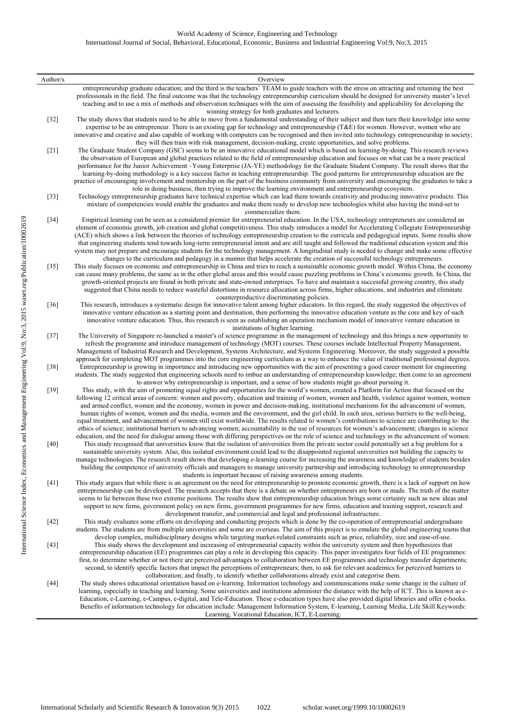#### World Academy of Science, Engineering and Technology International Journal of Social, Behavioral, Educational, Economic, Business and Industrial Engineering Vol:9, No:3, 2015

| Author/s       | Overview                                                                                                                                                                                                                                                                                                                                                                                                                                                                                                                                                                                                                                                                                                                                                                                                                                                                                                                                                                                                                                                                                                                                                                                               |
|----------------|--------------------------------------------------------------------------------------------------------------------------------------------------------------------------------------------------------------------------------------------------------------------------------------------------------------------------------------------------------------------------------------------------------------------------------------------------------------------------------------------------------------------------------------------------------------------------------------------------------------------------------------------------------------------------------------------------------------------------------------------------------------------------------------------------------------------------------------------------------------------------------------------------------------------------------------------------------------------------------------------------------------------------------------------------------------------------------------------------------------------------------------------------------------------------------------------------------|
|                | entrepreneurship graduate education; and the third is the teachers' TEAM to guide teachers with the stress on attracting and retaining the best<br>professionals in the field. The final outcome was that the technology entrepreneurship curriculum should be designed for university master's level<br>teaching and to use a mix of methods and observation techniques with the aim of assessing the feasibility and applicability for developing the                                                                                                                                                                                                                                                                                                                                                                                                                                                                                                                                                                                                                                                                                                                                                |
| $[32]$         | winning strategy for both graduates and lecturers.<br>The study shows that students need to be able to move from a fundamental understanding of their subject and then turn their knowledge into some<br>expertise to be an entrepreneur. There is an existing gap for technology and entrepreneurship $(TAE)$ for women. However, women who are<br>innovative and creative and also capable of working with computers can be recognised and then invited into technology entrepreneurship in society;<br>they will then train with risk management, decision-making, create opportunities, and solve problems.                                                                                                                                                                                                                                                                                                                                                                                                                                                                                                                                                                                        |
| $[21]$         | The Graduate Student Company (GSC) seems to be an innovative educational model which is based on learning-by-doing. This research reviews<br>the observation of European and global practices related to the field of entrepreneurship education and focuses on what can be a more practical<br>performance for the Junior Achievement–Young Enterprise (JA-YE) methodology for the Graduate Student Company. The result shows that the<br>learning-by-doing methodology is a key success factor in teaching entrepreneurship. The good patterns for entrepreneurship education are the<br>practice of encouraging involvement and mentorship on the part of the business community from university and encouraging the graduates to take a<br>role in doing business, then trying to improve the learning environment and entrepreneurship ecosystem.                                                                                                                                                                                                                                                                                                                                                 |
| $[33]$         | Technology entrepreneurship graduates have technical expertise which can lead them towards creativity and producing innovative products. This<br>mixture of competencies would enable the graduates and make them ready to develop new technologies whilst also having the mind-set to<br>commercialize them.                                                                                                                                                                                                                                                                                                                                                                                                                                                                                                                                                                                                                                                                                                                                                                                                                                                                                          |
| $[34]$         | Empirical learning can be seen as a considered premier for entrepreneurial education. In the USA, technology entrepreneurs are considered an<br>element of economic growth, job creation and global competitiveness. This study introduces a model for Accelerating Collegiate Entrepreneurship<br>(ACE) which shows a link between the theories of technology entrepreneurship creation to the curricula and pedagogical inputs. Some results show<br>that engineering students tend towards long-term entrepreneurial intent and are still taught and followed the traditional education system and this<br>system may not prepare and encourage students for the technology management. A longitudinal study is needed to change and make some effective<br>changes to the curriculum and pedagogy in a manner that helps accelerate the creation of successful technology entrepreneurs.                                                                                                                                                                                                                                                                                                           |
| $[35]$         | This study focuses on economic and entrepreneurship in China and tries to reach a sustainable economic growth model. Within China, the economy<br>can cause many problems, the same as in the other global areas and this would cause puzzling problems in China's economic growth. In China, the<br>growth-oriented projects are found in both private and state-owned enterprises. To have and maintain a successful growing country, this study<br>suggested that China needs to reduce wasteful distortions in resource allocation across firms, higher educations, and industries and eliminate<br>counterproductive discriminating policies.                                                                                                                                                                                                                                                                                                                                                                                                                                                                                                                                                     |
| $[36]$         | This research, introduces a systematic design for innovative talent among higher educators. In this regard, the study suggested the objectives of<br>innovative venture education as a starting point and destination, then performing the innovative education venture as the core and key of such<br>innovative venture education. Thus, this research is seen as establishing an operation mechanism model of innovative venture education in<br>institutions of higher learning.                                                                                                                                                                                                                                                                                                                                                                                                                                                                                                                                                                                                                                                                                                                   |
| $[37]$         | The University of Singapore re-launched a master's of science programme in the management of technology and this brings a new opportunity to<br>refresh the programme and introduce management of technology (MOT) courses. These courses include Intellectual Property Management,<br>Management of Industrial Research and Development, Systems Architecture, and Systems Engineering. Moreover, the study suggested a possible                                                                                                                                                                                                                                                                                                                                                                                                                                                                                                                                                                                                                                                                                                                                                                      |
| $[38]$         | approach for completing MOT programmes into the core engineering curriculum as a way to enhance the value of traditional professional degrees.<br>Entrepreneurship is growing in importance and introducing new opportunities with the aim of presenting a good career moment for engineering<br>students. The study suggested that engineering schools need to imbue an understanding of entrepreneurship knowledge; then come to an agreement<br>to answer why entrepreneurship is important, and a sense of how students might go about pursuing it.                                                                                                                                                                                                                                                                                                                                                                                                                                                                                                                                                                                                                                                |
| $[39]$<br>[40] | This study, with the aim of promoting equal rights and opportunities for the world's women, created a Platform for Action that focused on the<br>following 12 critical areas of concern: women and poverty, education and training of women, women and health, violence against women, women<br>and armed conflict, women and the economy, women in power and decision-making, institutional mechanisms for the advancement of women,<br>human rights of women, women and the media, women and the environment, and the girl child. In each area, serious barriers to the well-being,<br>equal treatment, and advancement of women still exist worldwide. The results related to women's contributions to science are contributing to: the<br>ethics of science; institutional barriers to advancing women; accountability in the use of resources for women's advancement; changes in science<br>education, and the need for dialogue among those with differing perspectives on the role of science and technology in the advancement of women.<br>This study recognised that universities know that the isolation of universities from the private sector could potentially set a big problem for a |
|                | sustainable university system. Also, this isolated environment could lead to the disappointed regional universities not building the capacity to<br>manage technologies. The research result shows that developing e-learning course for increasing the awareness and knowledge of students besides<br>building the competence of university officials and managers to manage university partnership and introducing technology to entrepreneurship<br>students is important because of raising awareness among students.                                                                                                                                                                                                                                                                                                                                                                                                                                                                                                                                                                                                                                                                              |
| [41]           | This study argues that while there is an agreement on the need for entrepreneurship to promote economic growth, there is a lack of support on how<br>entrepreneurship can be developed. The research accepts that there is a debate on whether entrepreneurs are born or made. The truth of the matter<br>seems to lie between these two extreme positions. The results show that entrepreneurship education brings some certainty such as new ideas and<br>support to new firms, government policy on new firms, government programmes for new firms, education and training support, research and                                                                                                                                                                                                                                                                                                                                                                                                                                                                                                                                                                                                    |
| $[42]$         | development transfer, and commercial and legal and professional infrastructure.<br>This study evaluates some efforts on developing and conducting projects which is done by the co-operation of entrepreneurial undergraduate<br>students. The students are from multiple universities and some are overseas. The aim of this project is to emulate the global engineering teams that<br>develop complex, multidisciplinary designs while targeting market-related constraints such as price, reliability, size and ease-of-use.                                                                                                                                                                                                                                                                                                                                                                                                                                                                                                                                                                                                                                                                       |
| $[43]$         | This study shows the development and increasing of entrepreneurial capacity within the university system and then hypothesizes that<br>entrepreneurship education (EE) programmes can play a role in developing this capacity. This paper investigates four fields of EE programmes:<br>first, to determine whether or not there are perceived advantages to collaboration between EE programmes and technology transfer departments;<br>second, to identify specific factors that impact the perceptions of entrepreneurs; then, to ask for relevant academics for perceived barriers to<br>collaboration; and finally, to identify whether collaborations already exist and categorise them.                                                                                                                                                                                                                                                                                                                                                                                                                                                                                                         |
| $[44]$         | The study shows educational orientation based on e-learning. Information technology and communications make some change in the culture of<br>learning, especially in teaching and learning. Some universities and institutions administer the distance with the help of ICT. This is known as e-<br>Education, e-Learning, e-Campus, e-digital, and Tele-Education. These e-education types have also provided digital libraries and offer e-books.<br>Benefits of information technology for education include: Management Information System, E-learning, Learning Media, Life Skill Keywords:<br>Learning, Vocational Education, ICT, E-Learning.                                                                                                                                                                                                                                                                                                                                                                                                                                                                                                                                                   |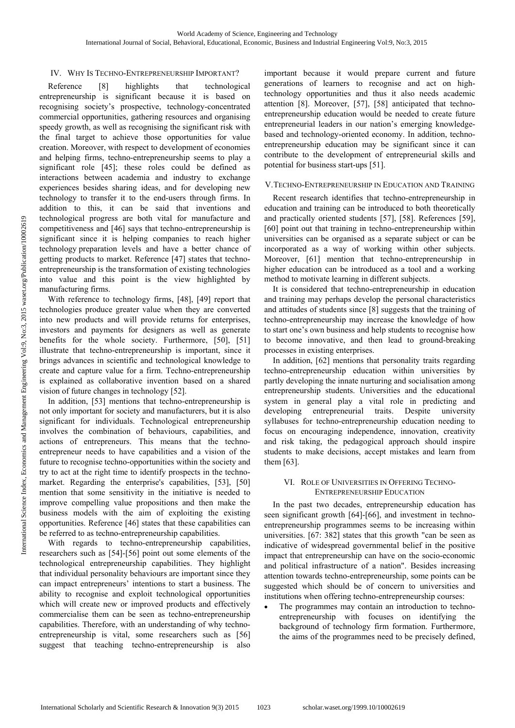## IV. WHY IS TECHNO-ENTREPRENEURSHIP IMPORTANT?

Reference [8] highlights that technological entrepreneurship is significant because it is based on recognising society's prospective, technology-concentrated commercial opportunities, gathering resources and organising speedy growth, as well as recognising the significant risk with the final target to achieve those opportunities for value creation. Moreover, with respect to development of economies and helping firms, techno-entrepreneurship seems to play a significant role [45]; these roles could be defined as interactions between academia and industry to exchange experiences besides sharing ideas, and for developing new technology to transfer it to the end-users through firms. In addition to this, it can be said that inventions and technological progress are both vital for manufacture and competitiveness and [46] says that techno-entrepreneurship is significant since it is helping companies to reach higher technology preparation levels and have a better chance of getting products to market. Reference [47] states that technoentrepreneurship is the transformation of existing technologies into value and this point is the view highlighted by manufacturing firms.

With reference to technology firms, [48], [49] report that technologies produce greater value when they are converted into new products and will provide returns for enterprises, investors and payments for designers as well as generate benefits for the whole society. Furthermore, [50], [51] illustrate that techno-entrepreneurship is important, since it brings advances in scientific and technological knowledge to create and capture value for a firm. Techno-entrepreneurship is explained as collaborative invention based on a shared vision of future changes in technology [52].

In addition, [53] mentions that techno-entrepreneurship is not only important for society and manufacturers, but it is also significant for individuals. Technological entrepreneurship involves the combination of behaviours, capabilities, and actions of entrepreneurs. This means that the technoentrepreneur needs to have capabilities and a vision of the future to recognise techno-opportunities within the society and try to act at the right time to identify prospects in the technomarket. Regarding the enterprise's capabilities, [53], [50] mention that some sensitivity in the initiative is needed to improve compelling value propositions and then make the business models with the aim of exploiting the existing opportunities. Reference [46] states that these capabilities can be referred to as techno-entrepreneurship capabilities.

With regards to techno-entrepreneurship capabilities, researchers such as [54]-[56] point out some elements of the technological entrepreneurship capabilities. They highlight that individual personality behaviours are important since they can impact entrepreneurs' intentions to start a business. The ability to recognise and exploit technological opportunities which will create new or improved products and effectively commercialise them can be seen as techno-entrepreneurship capabilities. Therefore, with an understanding of why technoentrepreneurship is vital, some researchers such as [56] suggest that teaching techno-entrepreneurship is also

important because it would prepare current and future generations of learners to recognise and act on hightechnology opportunities and thus it also needs academic attention [8]. Moreover, [57], [58] anticipated that technoentrepreneurship education would be needed to create future entrepreneurial leaders in our nation's emerging knowledgebased and technology-oriented economy. In addition, technoentrepreneurship education may be significant since it can contribute to the development of entrepreneurial skills and potential for business start-ups [51].

#### V.TECHNO-ENTREPRENEURSHIP IN EDUCATION AND TRAINING

Recent research identifies that techno-entrepreneurship in education and training can be introduced to both theoretically and practically oriented students [57], [58]. References [59], [60] point out that training in techno-entrepreneurship within universities can be organised as a separate subject or can be incorporated as a way of working within other subjects. Moreover, [61] mention that techno-entrepreneurship in higher education can be introduced as a tool and a working method to motivate learning in different subjects.

It is considered that techno-entrepreneurship in education and training may perhaps develop the personal characteristics and attitudes of students since [8] suggests that the training of techno-entrepreneurship may increase the knowledge of how to start one's own business and help students to recognise how to become innovative, and then lead to ground-breaking processes in existing enterprises.

In addition, [62] mentions that personality traits regarding techno-entrepreneurship education within universities by partly developing the innate nurturing and socialisation among entrepreneurship students. Universities and the educational system in general play a vital role in predicting and developing entrepreneurial traits. Despite university syllabuses for techno-entrepreneurship education needing to focus on encouraging independence, innovation, creativity and risk taking, the pedagogical approach should inspire students to make decisions, accept mistakes and learn from them [63].

#### VI. ROLE OF UNIVERSITIES IN OFFERING TECHNO-ENTREPRENEURSHIP EDUCATION

In the past two decades, entrepreneurship education has seen significant growth [64]-[66], and investment in technoentrepreneurship programmes seems to be increasing within universities. [67: 382] states that this growth "can be seen as indicative of widespread governmental belief in the positive impact that entrepreneurship can have on the socio-economic and political infrastructure of a nation". Besides increasing attention towards techno-entrepreneurship, some points can be suggested which should be of concern to universities and institutions when offering techno-entrepreneurship courses:

• The programmes may contain an introduction to technoentrepreneurship with focuses on identifying the background of technology firm formation. Furthermore, the aims of the programmes need to be precisely defined,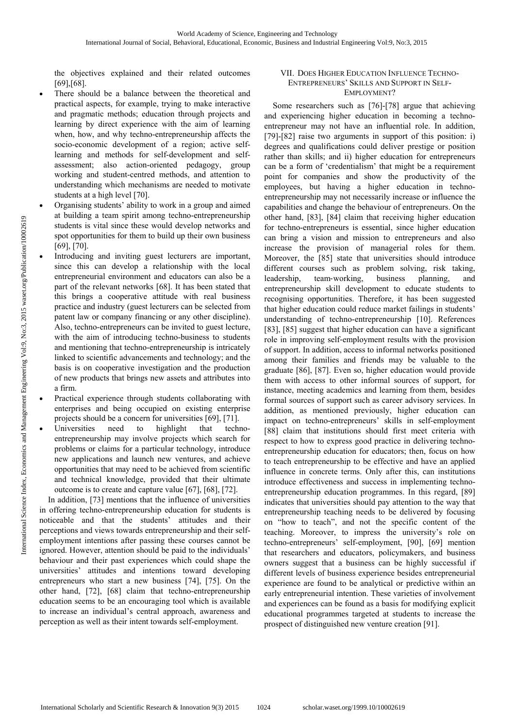the objectives explained and their related outcomes [69],[68].

- There should be a balance between the theoretical and practical aspects, for example, trying to make interactive and pragmatic methods; education through projects and learning by direct experience with the aim of learning when, how, and why techno-entrepreneurship affects the socio-economic development of a region; active selflearning and methods for self-development and selfassessment; also action-oriented pedagogy, group working and student-centred methods, and attention to understanding which mechanisms are needed to motivate students at a high level [70].
- Organising students' ability to work in a group and aimed at building a team spirit among techno-entrepreneurship students is vital since these would develop networks and spot opportunities for them to build up their own business [69], [70].
- Introducing and inviting guest lecturers are important, since this can develop a relationship with the local entrepreneurial environment and educators can also be a part of the relevant networks [68]. It has been stated that this brings a cooperative attitude with real business practice and industry (guest lecturers can be selected from patent law or company financing or any other discipline). Also, techno-entrepreneurs can be invited to guest lecture, with the aim of introducing techno-business to students and mentioning that techno-entrepreneurship is intricately linked to scientific advancements and technology; and the basis is on cooperative investigation and the production of new products that brings new assets and attributes into a firm.
- Practical experience through students collaborating with enterprises and being occupied on existing enterprise projects should be a concern for universities [69], [71].
- Universities need to highlight that technoentrepreneurship may involve projects which search for problems or claims for a particular technology, introduce new applications and launch new ventures, and achieve opportunities that may need to be achieved from scientific and technical knowledge, provided that their ultimate outcome is to create and capture value [67], [68], [72].

In addition, [73] mentions that the influence of universities in offering techno-entrepreneurship education for students is noticeable and that the students' attitudes and their perceptions and views towards entrepreneurship and their selfemployment intentions after passing these courses cannot be ignored. However, attention should be paid to the individuals' behaviour and their past experiences which could shape the universities' attitudes and intentions toward developing entrepreneurs who start a new business [74], [75]. On the other hand, [72], [68] claim that techno-entrepreneurship education seems to be an encouraging tool which is available to increase an individual's central approach, awareness and perception as well as their intent towards self-employment.

## VII. DOES HIGHER EDUCATION INFLUENCE TECHNO-ENTREPRENEURS' SKILLS AND SUPPORT IN SELF-EMPLOYMENT?

Some researchers such as [76]-[78] argue that achieving and experiencing higher education in becoming a technoentrepreneur may not have an influential role. In addition, [79]-[82] raise two arguments in support of this position: i) degrees and qualifications could deliver prestige or position rather than skills; and ii) higher education for entrepreneurs can be a form of 'credentialism' that might be a requirement point for companies and show the productivity of the employees, but having a higher education in technoentrepreneurship may not necessarily increase or influence the capabilities and change the behaviour of entrepreneurs. On the other hand, [83], [84] claim that receiving higher education for techno-entrepreneurs is essential, since higher education can bring a vision and mission to entrepreneurs and also increase the provision of managerial roles for them. Moreover, the [85] state that universities should introduce different courses such as problem solving, risk taking, leadership, team‐working, business planning, and entrepreneurship skill development to educate students to recognising opportunities. Therefore, it has been suggested that higher education could reduce market failings in students' understanding of techno-entrepreneurship [10]. References [83], [85] suggest that higher education can have a significant role in improving self‐employment results with the provision of support. In addition, access to informal networks positioned among their families and friends may be valuable to the graduate [86], [87]. Even so, higher education would provide them with access to other informal sources of support, for instance, meeting academics and learning from them, besides formal sources of support such as career advisory services. In addition, as mentioned previously, higher education can impact on techno-entrepreneurs' skills in self-employment [88] claim that institutions should first meet criteria with respect to how to express good practice in delivering technoentrepreneurship education for educators; then, focus on how to teach entrepreneurship to be effective and have an applied influence in concrete terms. Only after this, can institutions introduce effectiveness and success in implementing technoentrepreneurship education programmes. In this regard, [89] indicates that universities should pay attention to the way that entrepreneurship teaching needs to be delivered by focusing on "how to teach", and not the specific content of the teaching. Moreover, to impress the university's role on techno-entrepreneurs' self-employment, [90], [69] mention that researchers and educators, policymakers, and business owners suggest that a business can be highly successful if different levels of business experience besides entrepreneurial experience are found to be analytical or predictive within an early entrepreneurial intention. These varieties of involvement and experiences can be found as a basis for modifying explicit educational programmes targeted at students to increase the prospect of distinguished new venture creation [91].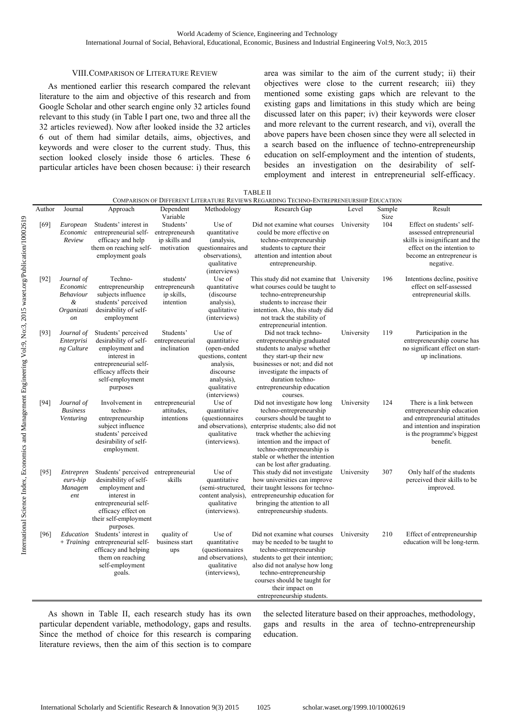### VIII.COMPARISON OF LITERATURE REVIEW

As mentioned earlier this research compared the relevant literature to the aim and objective of this research and from Google Scholar and other search engine only 32 articles found relevant to this study (in Table I part one, two and three all the 32 articles reviewed). Now after looked inside the 32 articles 6 out of them had similar details, aims, objectives, and keywords and were closer to the current study. Thus, this section looked closely inside those 6 articles. These 6 particular articles have been chosen because: i) their research area was similar to the aim of the current study; ii) their objectives were close to the current research; iii) they mentioned some existing gaps which are relevant to the existing gaps and limitations in this study which are being discussed later on this paper; iv) their keywords were closer and more relevant to the current research, and vi), overall the above papers have been chosen since they were all selected in a search based on the influence of techno-entrepreneurship education on self-employment and the intention of students, besides an investigation on the desirability of selfemployment and interest in entrepreneurial self-efficacy.

|        | <b>TABLE II</b><br>COMPARISON OF DIFFERENT LITERATURE REVIEWS REGARDING TECHNO-ENTREPRENEURSHIP EDUCATION |                                                                                                                                                                    |                                                            |                                                                                                                                    |                                                                                                                                                                                                                                                                                                                 |            |        |                                                                                                                                                                   |
|--------|-----------------------------------------------------------------------------------------------------------|--------------------------------------------------------------------------------------------------------------------------------------------------------------------|------------------------------------------------------------|------------------------------------------------------------------------------------------------------------------------------------|-----------------------------------------------------------------------------------------------------------------------------------------------------------------------------------------------------------------------------------------------------------------------------------------------------------------|------------|--------|-------------------------------------------------------------------------------------------------------------------------------------------------------------------|
| Author | Journal                                                                                                   | Approach                                                                                                                                                           | Dependent                                                  | Methodology                                                                                                                        | Research Gap                                                                                                                                                                                                                                                                                                    | Level      | Sample | Result                                                                                                                                                            |
|        |                                                                                                           |                                                                                                                                                                    | Variable                                                   |                                                                                                                                    |                                                                                                                                                                                                                                                                                                                 |            | Size   |                                                                                                                                                                   |
| [69]   | European<br>Economic<br>Review                                                                            | Students' interest in<br>entrepreneurial self-<br>efficacy and help<br>them on reaching self-<br>employment goals                                                  | Students'<br>entrepreneursh<br>ip skills and<br>motivation | Use of<br>quantitative<br>(analysis,<br>questionnaires and<br>observations),<br>qualitative<br>(interviews)                        | Did not examine what courses<br>could be more effective on<br>techno-entrepreneurship<br>students to capture their<br>attention and intention about<br>entrepreneurship.                                                                                                                                        | University | 104    | Effect on students' self-<br>assessed entrepreneurial<br>skills is insignificant and the<br>effect on the intention to<br>become an entrepreneur is<br>negative.  |
| $[92]$ | Journal of<br>Economic<br>Behaviour<br>&<br>Organizati<br><sub>on</sub>                                   | Techno-<br>entrepreneurship<br>subjects influence<br>students' perceived<br>desirability of self-<br>employment                                                    | students'<br>entrepreneursh<br>ip skills,<br>intention     | Use of<br>quantitative<br>(discourse)<br>analysis),<br>qualitative<br>(interviews)                                                 | This study did not examine that University<br>what courses could be taught to<br>techno-entrepreneurship<br>students to increase their<br>intention. Also, this study did<br>not track the stability of<br>entrepreneurial intention.                                                                           |            | 196    | Intentions decline, positive<br>effect on self-assessed<br>entrepreneurial skills.                                                                                |
| [93]   | Journal of<br>Enterprisi<br>ng Culture                                                                    | Students' perceived<br>desirability of self-<br>employment and<br>interest in<br>entrepreneurial self-<br>efficacy affects their<br>self-employment<br>purposes    | Students'<br>entrepreneurial<br>inclination                | Use of<br>quantitative<br>(open-ended<br>questions, content<br>analysis,<br>discourse<br>analysis),<br>qualitative<br>(interviews) | Did not track techno-<br>entrepreneurship graduated<br>students to analyse whether<br>they start-up their new<br>businesses or not; and did not<br>investigate the impacts of<br>duration techno-<br>entrepreneurship education<br>courses.                                                                     | University | 119    | Participation in the<br>entrepreneurship course has<br>no significant effect on start-<br>up inclinations.                                                        |
| $[94]$ | Journal of<br><b>Business</b><br>Venturing                                                                | Involvement in<br>techno-<br>entrepreneurship<br>subject influence<br>students' perceived<br>desirability of self-<br>employment.                                  | entrepreneurial<br>attitudes.<br>intentions                | Use of<br>quantitative<br>(questionnaires<br>qualitative<br>(interviews).                                                          | Did not investigate how long<br>techno-entrepreneurship<br>coursers should be taught to<br>and observations), enterprise students; also did not<br>track whether the achieving<br>intention and the impact of<br>techno-entrepreneurship is<br>stable or whether the intention<br>can be lost after graduating. | University | 124    | There is a link between<br>entrepreneurship education<br>and entrepreneurial attitudes<br>and intention and inspiration<br>is the programme's biggest<br>benefit. |
| [95]   | Entrepren<br>eurs-hip<br>Managem<br>ent                                                                   | Students' perceived<br>desirability of self-<br>employment and<br>interest in<br>entrepreneurial self-<br>efficacy effect on<br>their self-employment<br>purposes. | entrepreneurial<br>skills                                  | Use of<br>quantitative<br>(semi-structured,<br>content analysis),<br>qualitative<br>(interviews).                                  | This study did not investigate<br>how universities can improve<br>their taught lessons for techno-<br>entrepreneurship education for<br>bringing the attention to all<br>entrepreneurship students.                                                                                                             | University | 307    | Only half of the students<br>perceived their skills to be<br>improved.                                                                                            |
| [96]   | Education<br>$+$ Training                                                                                 | Students' interest in<br>entrepreneurial self-<br>efficacy and helping<br>them on reaching<br>self-employment<br>goals.                                            | quality of<br>business start<br>ups                        | Use of<br>quantitative<br>(questionnaires<br>and observations),<br>qualitative<br>(interviews),                                    | Did not examine what courses<br>may be needed to be taught to<br>techno-entrepreneurship<br>students to get their intention;<br>also did not analyse how long<br>techno-entrepreneurship<br>courses should be taught for<br>their impact on<br>entrepreneurship students.                                       | University | 210    | Effect of entrepreneurship<br>education will be long-term.                                                                                                        |

As shown in Table II, each research study has its own particular dependent variable, methodology, gaps and results. Since the method of choice for this research is comparing literature reviews, then the aim of this section is to compare the selected literature based on their approaches, methodology, gaps and results in the area of techno-entrepreneurship education.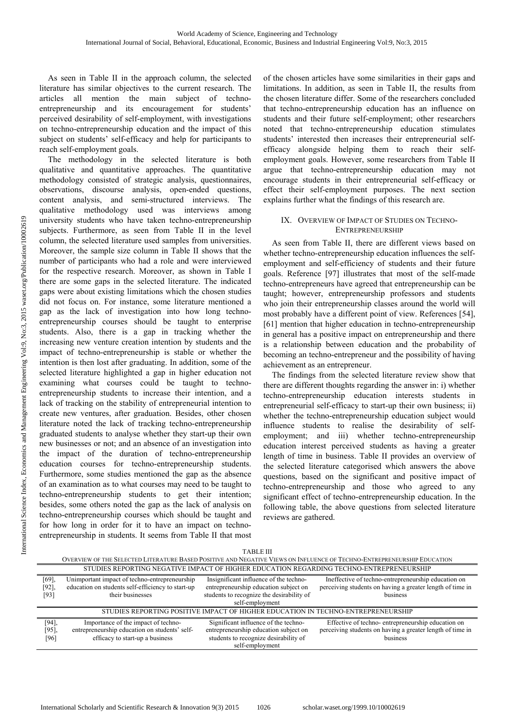As seen in Table II in the approach column, the selected literature has similar objectives to the current research. The articles all mention the main subject of technoentrepreneurship and its encouragement for students' perceived desirability of self-employment, with investigations on techno-entrepreneurship education and the impact of this subject on students' self-efficacy and help for participants to reach self-employment goals.

The methodology in the selected literature is both qualitative and quantitative approaches. The quantitative methodology consisted of strategic analysis, questionnaires, observations, discourse analysis, open-ended questions, content analysis, and semi-structured interviews. The qualitative methodology used was interviews among university students who have taken techno-entrepreneurship subjects. Furthermore, as seen from Table II in the level column, the selected literature used samples from universities. Moreover, the sample size column in Table II shows that the number of participants who had a role and were interviewed for the respective research. Moreover, as shown in Table I there are some gaps in the selected literature. The indicated gaps were about existing limitations which the chosen studies did not focus on. For instance, some literature mentioned a gap as the lack of investigation into how long technoentrepreneurship courses should be taught to enterprise students. Also, there is a gap in tracking whether the increasing new venture creation intention by students and the impact of techno-entrepreneurship is stable or whether the intention is then lost after graduating. In addition, some of the selected literature highlighted a gap in higher education not examining what courses could be taught to technoentrepreneurship students to increase their intention, and a lack of tracking on the stability of entrepreneurial intention to create new ventures, after graduation. Besides, other chosen literature noted the lack of tracking techno-entrepreneurship graduated students to analyse whether they start-up their own new businesses or not; and an absence of an investigation into the impact of the duration of techno-entrepreneurship education courses for techno-entrepreneurship students. Furthermore, some studies mentioned the gap as the absence of an examination as to what courses may need to be taught to techno-entrepreneurship students to get their intention; besides, some others noted the gap as the lack of analysis on techno-entrepreneurship courses which should be taught and for how long in order for it to have an impact on technoentrepreneurship in students. It seems from Table II that most

of the chosen articles have some similarities in their gaps and limitations. In addition, as seen in Table II, the results from the chosen literature differ. Some of the researchers concluded that techno-entrepreneurship education has an influence on students and their future self-employment; other researchers noted that techno-entrepreneurship education stimulates students' interested then increases their entrepreneurial selfefficacy alongside helping them to reach their selfemployment goals. However, some researchers from Table II argue that techno-entrepreneurship education may not encourage students in their entrepreneurial self-efficacy or effect their self-employment purposes. The next section explains further what the findings of this research are.

## IX. OVERVIEW OF IMPACT OF STUDIES ON TECHNO-ENTREPRENEURSHIP

As seen from Table II, there are different views based on whether techno-entrepreneurship education influences the selfemployment and self-efficiency of students and their future goals. Reference [97] illustrates that most of the self-made techno-entrepreneurs have agreed that entrepreneurship can be taught; however, entrepreneurship professors and students who join their entrepreneurship classes around the world will most probably have a different point of view. References [54], [61] mention that higher education in techno-entrepreneurship in general has a positive impact on entrepreneurship and there is a relationship between education and the probability of becoming an techno-entrepreneur and the possibility of having achievement as an entrepreneur.

The findings from the selected literature review show that there are different thoughts regarding the answer in: i) whether techno-entrepreneurship education interests students in entrepreneurial self-efficacy to start-up their own business; ii) whether the techno-entrepreneurship education subject would influence students to realise the desirability of selfemployment; and iii) whether techno-entrepreneurship education interest perceived students as having a greater length of time in business. Table II provides an overview of the selected literature categorised which answers the above questions, based on the significant and positive impact of techno-entrepreneurship and those who agreed to any significant effect of techno-entrepreneurship education. In the following table, the above questions from selected literature reviews are gathered.

|                                                                                                                         |                                                   | <b>TABLE III</b>                          |                                                           |  |  |
|-------------------------------------------------------------------------------------------------------------------------|---------------------------------------------------|-------------------------------------------|-----------------------------------------------------------|--|--|
| OVERVIEW OF THE SELECTED LITERATURE BASED POSITIVE AND NEGATIVE VIEWS ON INFLUENCE OF TECHNO-ENTREPRENEURSHIP EDUCATION |                                                   |                                           |                                                           |  |  |
| STUDIES REPORTING NEGATIVE IMPACT OF HIGHER EDUCATION REGARDING TECHNO-ENTREPRENEURSHIP                                 |                                                   |                                           |                                                           |  |  |
| [69]                                                                                                                    | Unimportant impact of techno-entrepreneurship     | Insignificant influence of the techno-    | Ineffective of techno-entrepreneurship education on       |  |  |
| [92],                                                                                                                   | education on students self-efficiency to start-up | entrepreneurship education subject on     | perceiving students on having a greater length of time in |  |  |
| [93]                                                                                                                    | their businesses                                  | students to recognize the desirability of | business                                                  |  |  |
|                                                                                                                         |                                                   | self-employment                           |                                                           |  |  |
| STUDIES REPORTING POSITIVE IMPACT OF HIGHER EDUCATION IN TECHNO-ENTREPRENEURSHIP                                        |                                                   |                                           |                                                           |  |  |
| [94]                                                                                                                    | Importance of the impact of techno-               | Significant influence of the techno-      | Effective of techno-entrepreneurship education on         |  |  |
| [95]                                                                                                                    | entrepreneurship education on students' self-     | entrepreneurship education subject on     | perceiving students on having a greater length of time in |  |  |
| [96]                                                                                                                    | efficacy to start-up a business                   | students to recognize desirability of     | business                                                  |  |  |
|                                                                                                                         |                                                   | self-employment                           |                                                           |  |  |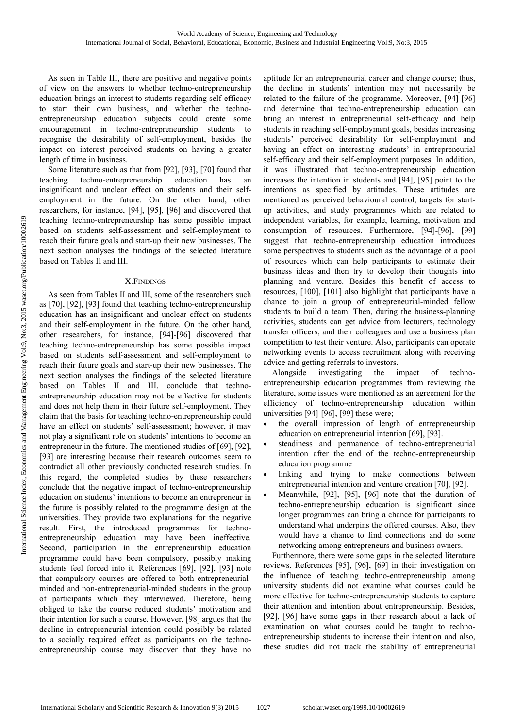As seen in Table III, there are positive and negative points of view on the answers to whether techno-entrepreneurship education brings an interest to students regarding self-efficacy to start their own business, and whether the technoentrepreneurship education subjects could create some encouragement in techno-entrepreneurship students to recognise the desirability of self-employment, besides the impact on interest perceived students on having a greater length of time in business.

Some literature such as that from [92], [93], [70] found that teaching techno-entrepreneurship education has an insignificant and unclear effect on students and their selfemployment in the future. On the other hand, other researchers, for instance, [94], [95], [96] and discovered that teaching techno-entrepreneurship has some possible impact based on students self-assessment and self-employment to reach their future goals and start-up their new businesses. The next section analyses the findings of the selected literature based on Tables II and III.

## X.FINDINGS

As seen from Tables II and III, some of the researchers such as [70], [92], [93] found that teaching techno-entrepreneurship education has an insignificant and unclear effect on students and their self-employment in the future. On the other hand, other researchers, for instance, [94]-[96] discovered that teaching techno-entrepreneurship has some possible impact based on students self-assessment and self-employment to reach their future goals and start-up their new businesses. The next section analyses the findings of the selected literature based on Tables II and III. conclude that technoentrepreneurship education may not be effective for students and does not help them in their future self-employment. They claim that the basis for teaching techno-entrepreneurship could have an effect on students' self-assessment; however, it may not play a significant role on students' intentions to become an entrepreneur in the future. The mentioned studies of [69], [92], [93] are interesting because their research outcomes seem to contradict all other previously conducted research studies. In this regard, the completed studies by these researchers conclude that the negative impact of techno-entrepreneurship education on students' intentions to become an entrepreneur in the future is possibly related to the programme design at the universities. They provide two explanations for the negative result. First, the introduced programmes for technoentrepreneurship education may have been ineffective. Second, participation in the entrepreneurship education programme could have been compulsory, possibly making students feel forced into it. References [69], [92], [93] note that compulsory courses are offered to both entrepreneurialminded and non-entrepreneurial-minded students in the group of participants which they interviewed. Therefore, being obliged to take the course reduced students' motivation and their intention for such a course. However, [98] argues that the decline in entrepreneurial intention could possibly be related to a socially required effect as participants on the technoentrepreneurship course may discover that they have no

aptitude for an entrepreneurial career and change course; thus, the decline in students' intention may not necessarily be related to the failure of the programme. Moreover, [94]-[96] and determine that techno-entrepreneurship education can bring an interest in entrepreneurial self-efficacy and help students in reaching self-employment goals, besides increasing students' perceived desirability for self-employment and having an effect on interesting students' in entrepreneurial self-efficacy and their self-employment purposes. In addition, it was illustrated that techno-entrepreneurship education increases the intention in students and [94], [95] point to the intentions as specified by attitudes. These attitudes are mentioned as perceived behavioural control, targets for startup activities, and study programmes which are related to independent variables, for example, learning, motivation and consumption of resources. Furthermore, [94]-[96], [99] suggest that techno-entrepreneurship education introduces some perspectives to students such as the advantage of a pool of resources which can help participants to estimate their business ideas and then try to develop their thoughts into planning and venture. Besides this benefit of access to resources, [100], [101] also highlight that participants have a chance to join a group of entrepreneurial-minded fellow students to build a team. Then, during the business-planning activities, students can get advice from lecturers, technology transfer officers, and their colleagues and use a business plan competition to test their venture. Also, participants can operate networking events to access recruitment along with receiving advice and getting referrals to investors.

Alongside investigating the impact of technoentrepreneurship education programmes from reviewing the literature, some issues were mentioned as an agreement for the efficiency of techno-entrepreneurship education within universities [94]-[96], [99] these were;

- the overall impression of length of entrepreneurship education on entrepreneurial intention [69], [93].
- steadiness and permanence of techno-entrepreneurial intention after the end of the techno-entrepreneurship education programme
- linking and trying to make connections between entrepreneurial intention and venture creation [70], [92].
- Meanwhile, [92], [95], [96] note that the duration of techno-entrepreneurship education is significant since longer programmes can bring a chance for participants to understand what underpins the offered courses. Also, they would have a chance to find connections and do some networking among entrepreneurs and business owners.

Furthermore, there were some gaps in the selected literature reviews. References [95], [96], [69] in their investigation on the influence of teaching techno-entrepreneurship among university students did not examine what courses could be more effective for techno-entrepreneurship students to capture their attention and intention about entrepreneurship. Besides, [92], [96] have some gaps in their research about a lack of examination on what courses could be taught to technoentrepreneurship students to increase their intention and also, these studies did not track the stability of entrepreneurial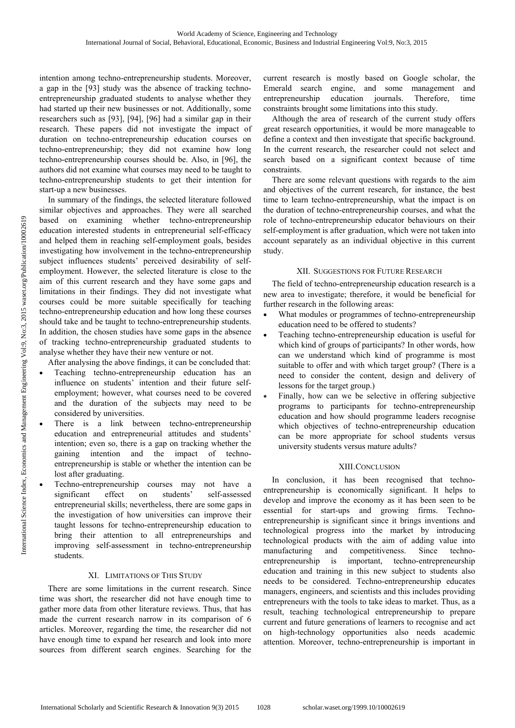intention among techno-entrepreneurship students. Moreover, a gap in the [93] study was the absence of tracking technoentrepreneurship graduated students to analyse whether they had started up their new businesses or not. Additionally, some researchers such as [93], [94], [96] had a similar gap in their research. These papers did not investigate the impact of duration on techno-entrepreneurship education courses on techno-entrepreneurship; they did not examine how long techno-entrepreneurship courses should be. Also, in [96], the authors did not examine what courses may need to be taught to techno-entrepreneurship students to get their intention for start-up a new businesses.

In summary of the findings, the selected literature followed similar objectives and approaches. They were all searched based on examining whether techno-entrepreneurship education interested students in entrepreneurial self-efficacy and helped them in reaching self-employment goals, besides investigating how involvement in the techno-entrepreneurship subject influences students' perceived desirability of selfemployment. However, the selected literature is close to the aim of this current research and they have some gaps and limitations in their findings. They did not investigate what courses could be more suitable specifically for teaching techno-entrepreneurship education and how long these courses should take and be taught to techno-entrepreneurship students. In addition, the chosen studies have some gaps in the absence of tracking techno-entrepreneurship graduated students to analyse whether they have their new venture or not.

After analysing the above findings, it can be concluded that:

- Teaching techno-entrepreneurship education has an influence on students' intention and their future selfemployment; however, what courses need to be covered and the duration of the subjects may need to be considered by universities.
- There is a link between techno-entrepreneurship education and entrepreneurial attitudes and students' intention; even so, there is a gap on tracking whether the gaining intention and the impact of technoentrepreneurship is stable or whether the intention can be lost after graduating.
- Techno-entrepreneurship courses may not have a significant effect on students' self-assessed entrepreneurial skills; nevertheless, there are some gaps in the investigation of how universities can improve their taught lessons for techno-entrepreneurship education to bring their attention to all entrepreneurships and improving self-assessment in techno-entrepreneurship students.

## XI. LIMITATIONS OF THIS STUDY

There are some limitations in the current research. Since time was short, the researcher did not have enough time to gather more data from other literature reviews. Thus, that has made the current research narrow in its comparison of 6 articles. Moreover, regarding the time, the researcher did not have enough time to expand her research and look into more sources from different search engines. Searching for the

current research is mostly based on Google scholar, the Emerald search engine, and some management and entrepreneurship education journals. Therefore, time constraints brought some limitations into this study.

Although the area of research of the current study offers great research opportunities, it would be more manageable to define a context and then investigate that specific background. In the current research, the researcher could not select and search based on a significant context because of time constraints.

There are some relevant questions with regards to the aim and objectives of the current research, for instance, the best time to learn techno-entrepreneurship, what the impact is on the duration of techno-entrepreneurship courses, and what the role of techno-entrepreneurship educator behaviours on their self-employment is after graduation, which were not taken into account separately as an individual objective in this current study.

## XII. SUGGESTIONS FOR FUTURE RESEARCH

The field of techno-entrepreneurship education research is a new area to investigate; therefore, it would be beneficial for further research in the following areas:

- What modules or programmes of techno-entrepreneurship education need to be offered to students?
- Teaching techno-entrepreneurship education is useful for which kind of groups of participants? In other words, how can we understand which kind of programme is most suitable to offer and with which target group? (There is a need to consider the content, design and delivery of lessons for the target group.)
- Finally, how can we be selective in offering subjective programs to participants for techno-entrepreneurship education and how should programme leaders recognise which objectives of techno-entrepreneurship education can be more appropriate for school students versus university students versus mature adults?

# XIII.CONCLUSION

In conclusion, it has been recognised that technoentrepreneurship is economically significant. It helps to develop and improve the economy as it has been seen to be essential for start-ups and growing firms. Technoentrepreneurship is significant since it brings inventions and technological progress into the market by introducing technological products with the aim of adding value into manufacturing and competitiveness. Since technoentrepreneurship is important, techno-entrepreneurship education and training in this new subject to students also needs to be considered. Techno-entrepreneurship educates managers, engineers, and scientists and this includes providing entrepreneurs with the tools to take ideas to market. Thus, as a result, teaching technological entrepreneurship to prepare current and future generations of learners to recognise and act on high-technology opportunities also needs academic attention. Moreover, techno-entrepreneurship is important in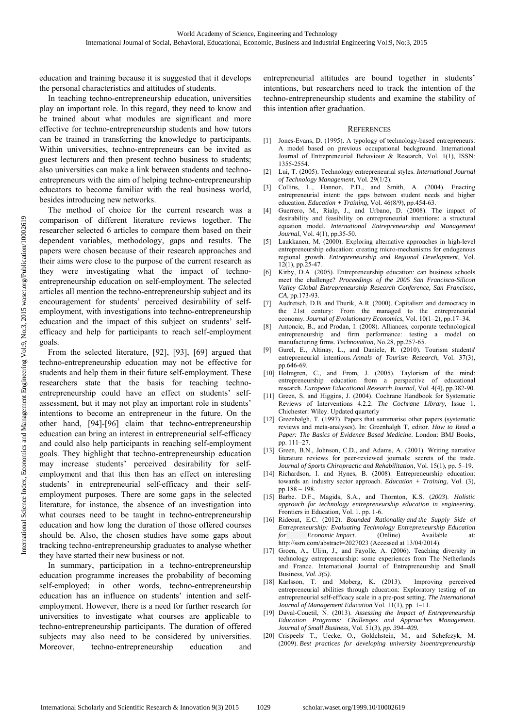education and training because it is suggested that it develops the personal characteristics and attitudes of students.

In teaching techno-entrepreneurship education, universities play an important role. In this regard, they need to know and be trained about what modules are significant and more effective for techno-entrepreneurship students and how tutors can be trained in transferring the knowledge to participants. Within universities, techno-entrepreneurs can be invited as guest lecturers and then present techno business to students; also universities can make a link between students and technoentrepreneurs with the aim of helping techno-entrepreneurship educators to become familiar with the real business world, besides introducing new networks.

The method of choice for the current research was a comparison of different literature reviews together. The researcher selected 6 articles to compare them based on their dependent variables, methodology, gaps and results. The papers were chosen because of their research approaches and their aims were close to the purpose of the current research as they were investigating what the impact of technoentrepreneurship education on self-employment. The selected articles all mention the techno-entrepreneurship subject and its encouragement for students' perceived desirability of selfemployment, with investigations into techno-entrepreneurship education and the impact of this subject on students' selfefficacy and help for participants to reach self-employment goals.

From the selected literature, [92], [93], [69] argued that techno-entrepreneurship education may not be effective for students and help them in their future self-employment. These researchers state that the basis for teaching technoentrepreneurship could have an effect on students' selfassessment, but it may not play an important role in students' intentions to become an entrepreneur in the future. On the other hand, [94]-[96] claim that techno-entrepreneurship education can bring an interest in entrepreneurial self-efficacy and could also help participants in reaching self-employment goals. They highlight that techno-entrepreneurship education may increase students' perceived desirability for selfemployment and that this then has an effect on interesting students' in entrepreneurial self-efficacy and their selfemployment purposes. There are some gaps in the selected literature, for instance, the absence of an investigation into what courses need to be taught in techno-entrepreneurship education and how long the duration of those offered courses should be. Also, the chosen studies have some gaps about tracking techno-entrepreneurship graduates to analyse whether they have started their new business or not.

In summary, participation in a techno-entrepreneurship education programme increases the probability of becoming self-employed; in other words, techno-entrepreneurship education has an influence on students' intention and selfemployment. However, there is a need for further research for universities to investigate what courses are applicable to techno-entrepreneurship participants. The duration of offered subjects may also need to be considered by universities. Moreover, techno-entrepreneurship education and

entrepreneurial attitudes are bound together in students' intentions, but researchers need to track the intention of the techno-entrepreneurship students and examine the stability of this intention after graduation.

#### **REFERENCES**

- [1] Jones-Evans, D. (1995). A typology of technology-based entrepreneurs: A model based on previous occupational background. International Journal of Entrepreneurial Behaviour & Research, Vol. 1(1), ISSN: 1355-2554.
- [2] Lui, T. (2005). Technology entrepreneurial styles. *International Journal of Technology Management*, Vol. 29(1/2).
- [3] Collins, L., Hannon, P.D., and Smith, A. (2004). Enacting entrepreneurial intent: the gaps between student needs and higher education. *Education + Training*, Vol. 46(8/9), pp.454-63.
- Guerrero, M., Rialp, J., and Urbano, D. (2008). The impact of desirability and feasibility on entrepreneurial intentions: a structural equation model. *International Entrepreneurship and Management Journal*, Vol. 4(1), pp.35-50.
- [5] Laukkanen, M. (2000). Exploring alternative approaches in high-level entrepreneurship education: creating micro-mechanisms for endogenous regional growth. *Entrepreneurship and Regional Development*, Vol. 12(1), pp.25-47.
- [6] Kirby, D.A. (2005). Entrepreneurship education: can business schools meet the challenge? *Proceedings of the 2005 San Francisco-Silicon Valley Global Entrepreneurship Research Conference, San Francisco, CA*, pp.173-93.
- [7] Audretsch, D.B. and Thurik, A.R. (2000). Capitalism and democracy in the 21st century: From the managed to the entrepreneurial economy. *Journal of Evolutionary Economics*, Vol. 10(1–2), pp.17–34.
- [8] Antoncic, B., and Prodan, I. (2008). Alliances, corporate technological entrepreneurship and firm performance: testing a model on manufacturing firms. *Technovation*, No.28, pp.257-65.
- [9] Gurel, E., Altinay, L., and Daniele, R. (2010). Tourism students' entrepreneurial intentions. *Annals of Tourism Research*, Vol. 37(3), pp.646-69.
- [10] Holmgren, C., and From, J. (2005). Taylorism of the mind: entrepreneurship education from a perspective of educational research. *European Educational Research Journal*, Vol. 4(4), pp.382-90.
- [11] Green, S. and Higgins, J. (2004). Cochrane Handbook for Systematic Reviews of Interventions 4.2.2. *The Cochrane Library*, Issue 1. Chichester: Wiley. Updated quarterly
- [12] Greenhalgh, T. (1997). Papers that summarise other papers (systematic reviews and meta-analyses). In: Greenhalgh T, editor. *How to Read a Paper: The Basics of Evidence Based Medicine*. London: BMJ Books, pp. 111–27.
- [13] Green, B.N., Johnson, C.D., and Adams, A. (2001). Writing narrative literature reviews for peer-reviewed journals: secrets of the trade. *Journal of Sports Chiropractic and Rehabilitation*, Vol. 15(1), pp. 5–19.
- [14] Richardson, I. and Hynes, B. (2008). Entrepreneurship education: towards an industry sector approach. *Education + Training*, Vol. (3), pp.188 – 198.
- [15] Barbe. D.F., Magids, S.A., and Thornton, K.S. (*2003*). *Holistic approach for technology entrepreneurship education in engineering.*  Frontiers in Education, Vol. 1. pp. 1-6.
- [16] Rideout, E.C. (2012). *Bounded Rationality and the Supply Side of Entrepreneurship: Evaluating Technology Entrepreneurship Education for Economic Impact*. (Online) Available at: http://ssrn.com/abstract=2027023 (Accessed at 13/04/2014).
- [17] Groen, A., Ulijn, J., and Fayolle, A. (2006). Teaching diversity in technology entrepreneurship: some experiences from The Netherlands and France. International Journal of Entrepreneurship and Small Business*, Vol. 3(5).*
- [18] Karlsson, T. and Moberg, K. (2013). Improving perceived entrepreneurial abilities through education: Exploratory testing of an entrepreneurial self-efficacy scale in a pre-post setting. *The International Journal of Management Education* Vol. 11(1), pp. 1–11.
- [19] Duval-Couetil, N. (2013). *Assessing the Impact of Entrepreneurship Education Programs: Challenges and Approaches Management. Journal of Small Business,* Vol. 51(3), *pp. 394–409.*
- [20] Crispeels' T., Uecke, O., Goldchstein, M., and Schefczyk, M. (2009). *Best practices for developing university bioentrepreneurship*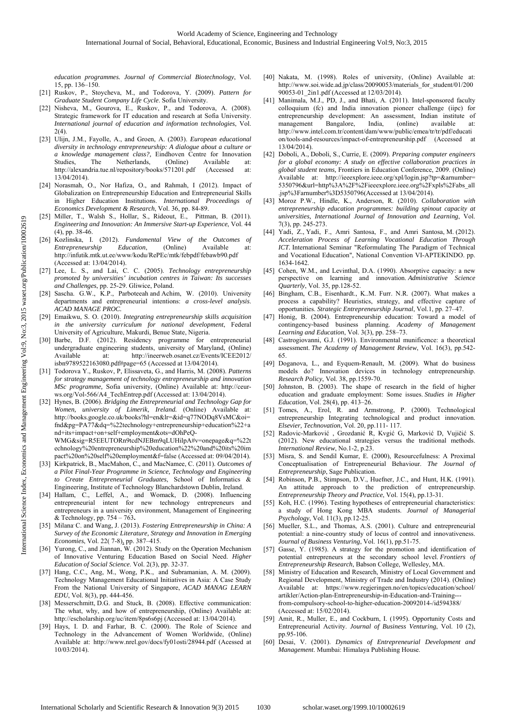*education programmes. Journal of Commercial Biotechnology*, Vol. 15, pp. 136–150.

- [21] Ruskov, P., Stoycheva, M., and Todorova, Y. (2009). *Pattern for Graduate Student Company Life Cycle*. Sofia University.
- [22] Nisheva, M., Gourova, E., Ruskov, P., and Todorova, A. (2008). Strategic framework for IT education and research at Sofia University. *International journal of education and information technologies*, Vol.  $2(4)$
- [23] Ulijn, J.M., Fayolle, A., and Groen, A. (2003). *European educational diversity in technology entrepreneurship: A dialogue about a culture or a knowledge management class?,* Eindhoven Centre for Innovation Studies, The Netherlands, (Online) Available at: http://alexandria.tue.nl/repository/books/571201.pdf (Accessed at: 13/04/2014).
- [24] Norasmah, O., Nor Hafiza, O., and Rahmah, I (2012). Impact of Globalization on Entrepreneurship Education and Entrepreneurial Skills in Higher Education Institutions. *International Proceedings of Economics Development & Research*, Vol. 36, pp. 84-89.
- [25] Miller, T., Walsh S., Hollar, S., Rideout, E., Pittman, B. (2011). *Engineering and Innovation: An Immersive Start-up Experience*, Vol. 44 (4), pp. 38-46.
- [26] Kozlinska, I. (2012). *Fundamental View of the Outcomes of Entrepreneurship Education*, (Online) Available at: http://infutik.mtk.ut.ee/www/kodu/RePEc/mtk/febpdf/febawb90.pdf (Accessed at: 13/04/2014).
- [27] Lee, L. S., and Lai, C. C. (2005). *Technology entrepreneurship promoted by universities' incubation centres in Taiwan: Its successes and Challenges*, pp. 25-29. Gliwice, Poland.
- [28] Sascha. G.W., K.P., Parboteeah and Achim, W. (2010). University departments and entrepreneurial intentions: *a cross-level analysis*. *ACAD MANAGE PROC.*
- [29] Emaikwu, S. O. (2010). *Integrating entrepreneurship skills acquisition in the university curriculum for national development*, Federal University of Agriculture, Makurdi, Benue State, Nigeria.
- [30] Barbe, D.F. (2012). Residency programme for entrepreneurial undergraduate engineering students, university of Maryland, (Online) Available at: http://ineerweb.osanet.cz/Events/ICEE2012/ isbn9789522163080.pdf#page=65 (Accessed at 13/04/2014).
- [31] Todorova Y., Ruskov, P, Elissaveta, G., and Harris, M. (2008). *Patterns for strategy management of technology entrepreneurship and innovation MSc programme,* Sofia university, (Online) Available at: http://ceurws.org/Vol-566/A4\_TechEntrep.pdf (Accessed at: 13/04/2014).
- [32] Hynes, B. (2006). *Bridging the Entrepreneurial and Technology Gap for Women, university of Limerik, Ireland.* (Online) Available at: http://books.google.co.uk/books?hl=en&lr=&id=q77NODq8VsMC&oi= fnd&pg=PA77&dq=%22technology+entrepreneurship+education%22+a nd+its+impact+on+self+employment&ots=dOhPeQ-
	- WMG&sig=R5EEUTORn9tcdNJEBm9qLUHilpA#v=onepage&q=%22t echnology%20entrepreneurship%20education%22%20and%20its%20im pact%20on%20self%20employment&f=false (Accessed at: 09/04/2014).
- [33] Kirkpatrick, B., MacMahon, C., and MacNamee, C. (2011). *Outcomes of a Pilot Final-Year Programme in Science, Technology and Engineering to Create Entrepreneurial Graduates*, School of Informatics & Engineering, Institute of Technology Blanchardstown Dublin, Ireland.
- [34] Hallam, C., Leffel, A., and Womack, D. (2008). Influencing entrepreneurial intent for new technology entrepreneurs and entrepreneurs in a university environment, Management of Engineering & Technology, pp. 754 – 763**.**
- [35] Milana<sup>,</sup> C. and Wang, J. (2013). *Fostering Entrepreneurship in China*: A *Survey of the Economic Literature, Strategy and Innovation in Emerging Economies*, Vol. 22( 7-8), pp. 387–415.
- [36] Yurong, C., and Jiannan, W. (2012). Study on the Operation Mechanism of Innovative Venturing Education Based on Social Need. *Higher Education of Social Science*. Vol. 2(3), pp. 32-37.
- [37] Hang, C.C., Ang, M., Wong, P.K., and Subramanian, A. M. (2009). Technology Management Educational Initiatives in Asia: A Case Study From the National University of Singapore, *ACAD MANAG LEARN EDU*, Vol. 8(3), pp. 444-456.
- [38] Messerschmitt, D.G. and Stuck, B. (2008). Effective communication: The what, why, and how of entrepreneurship, (Online) Available at: http://escholarship.org/uc/item/8ps6s6pj (Accessed at: 13/04/2014).
- [39] Hays, I. D. and Farhar, B. C. (2000). The Role of Science and Technology in the Advancement of Women Worldwide, (Online) Available at: http://www.nrel.gov/docs/fy01osti/28944.pdf (Acessed at 10/03/2014).
- [40] Nakata, M. (1998). Roles of university, (Online) Available at: http://www.soi.wide.ad.jp/class/20090053/materials\_for\_student/01/200 90053-01 2in1.pdf (Accessed at 12/03/2014).
- [41] Manimala, M.J., PD, J., and Bhati, A. (2011). Intel-sponsored faculty colloquium (fc) and India innovation pioneer challenge (iipc) for entrepreneurship development: An assessment, Indian institute of management Bangalore, India, (online) available at: http://www.intel.com.tr/content/dam/www/public/emea/tr/tr/pdf/educati on/tools-and-resources/impact-of-entrepreneurship.pdf (Accessed at 13/04/2014).
- [42] Doboli, A., Doboli, S., Currie, E. (2009). *Preparing computer engineers for a global economy: A study on effective collaboration practices in global student teams,* Frontiers in Education Conference, 2009. (Online) Available at: http://ieeexplore.ieee.org/xpl/login.jsp?tp=&arnumber= 5350796&url=http%3A%2F%2Fieeexplore.ieee.org%2Fxpls%2Fabs\_all .jsp%3Farnumber%3D5350796(Accessed at 13/04/2014).
- [43] Moroz P.W., Hindle, K., Anderson, R. (2010). *Collaboration with entrepreneurship education programmes: building spinout capacity at universities, International Journal of Innovation and Learning*, Vol. 7(3), pp. 245-273.
- [44] Yadi, Z., Yadi, F., Amri Santosa, F., and Amri Santosa, M. (2012). *Acceleration Process of Learning Vocational Education Through ICT.* International Seminar "Reformulating The Paradigm of Technical and Vocational Education", National Convention VI-APTEKINDO. pp. 1634-1642.
- [45] Cohen, W.M., and Levinthal, D.A. (1990). Absorptive capacity: a new perspective on learning and innovation. *Administrative Science Quarterly*, Vol. 35, pp.128-52.
- [46] Bingham, C.B., Eisenhardt., K..M. Furr. N.R. (2007). What makes a process a capability? Heuristics, strategy, and effective capture of opportunities. *Strategic Entrepreneurship Journal*, Vol.1, pp. 27–47.
- [47] Honig, B. (2004). Entrepreneurship education: Toward a model of contingency‐based business planning. *Academy of Management Learning and Education*, Vol. 3(3), pp. 258–73.
- [48] Castrogiovanni, G.J. (1991). Environmental munificence: a theoretical assessment. *The Academy of Management Review*, Vol. 16(3), pp.542- 65.
- [49] Doganova, L., and Eyquem-Renault, M. (2009). What do business models do? Innovation devices in technology entrepreneurship. *Research Policy*, Vol. 38, pp.1559-70.
- [50] Johnston, B. (2003). The shape of research in the field of higher education and graduate employment: Some issues. *Studies in Higher Education*, Vol. 28(4), pp. 413–26.
- [51] Tomes, A., Erol, R. and Armstrong, P. (2000). Technological entrepreneurship Integrating technological and product innovation. *Elsevier, Technovation*, Vol. 20, pp.111- 117.
- [52] Radovic-Marković , Grozdanić R, Kvgić G, Marković D, Vujičić S. (2012). New educational strategies versus the traditional methods. *International Review*, No.1-2, p.23.
- [53] Misra, S. and Sendil Kumar, E. (2000), Resourcefulness: A Proximal Conceptualisation of Entrepreneurial Behaviour. *The Journal of Entrepreneurship*, Sage Publication.
- [54] Robinson, P.B., Stimpson, D.V., Huefner, J.C., and Hunt, H.K. (1991). An attitude approach to the prediction of entrepreneurship. *Entrepreneurship Theory and Practice*, Vol. 15(4), pp.13-31.
- [55] Koh, H.C. (1996). Testing hypotheses of entrepreneurial characteristics: a study of Hong Kong MBA students. *Journal of Managerial Psychology*, Vol. 11(3), pp.12-25.
- [56] Mueller, S.L., and Thomas, A.S. (2001). Culture and entrepreneurial potential: a nine-country study of locus of control and innovativeness. *Journal of Business Venturing*, Vol. 16(1), pp.51-75.
- [57] Gasse, Y. (1985). A strategy for the promotion and identification of potential entrepreneurs at the secondary school level. *Frontiers of Entrepreneurship Research*, Babson College, Wellesley, MA.
- [58] Ministry of Education and Research, Ministry of Local Government and Regional Development, Ministry of Trade and Industry (2014). (Online) Available at: https://www.regjeringen.no/en/topics/education/school/ artikler/Action-plan-Entrepreneurship-in-Education-and-Training-- from-compulsory-school-to-higher-education-20092014-/id594388/ (Accessed at: 15/02/2014).
- [59] Amit, R., Muller, E., and Cockburn, I. (1995). Opportunity Costs and Entrepreneurial Activity. *Journal of Business Venturing*, Vol. 10 (2), pp.95-106.
- [60] Desai, V. (2001). *Dynamics of Entrepreneurial Development and Management*. Mumbai: Himalaya Publishing House.